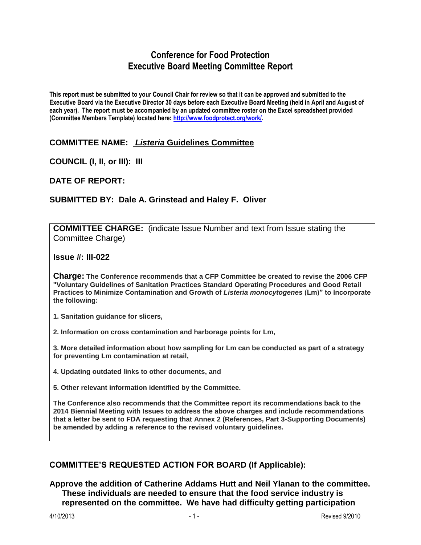# **Conference for Food Protection Executive Board Meeting Committee Report**

**This report must be submitted to your Council Chair for review so that it can be approved and submitted to the Executive Board via the Executive Director 30 days before each Executive Board Meeting (held in April and August of each year). The report must be accompanied by an updated committee roster on the Excel spreadsheet provided (Committee Members Template) located here: [http://www.foodprotect.org/work/.](http://www.foodprotect.org/work/)**

## **COMMITTEE NAME:** *Listeria* **Guidelines Committee**

**COUNCIL (I, II, or III): III**

**DATE OF REPORT:**

## **SUBMITTED BY: Dale A. Grinstead and Haley F. Oliver**

**COMMITTEE CHARGE:** (indicate Issue Number and text from Issue stating the Committee Charge)

**Issue #: III-022**

**Charge: The Conference recommends that a CFP Committee be created to revise the 2006 CFP "Voluntary Guidelines of Sanitation Practices Standard Operating Procedures and Good Retail Practices to Minimize Contamination and Growth of** *Listeria monocytogenes* **(Lm)" to incorporate the following:**

**1. Sanitation guidance for slicers,**

**2. Information on cross contamination and harborage points for Lm,**

**3. More detailed information about how sampling for Lm can be conducted as part of a strategy for preventing Lm contamination at retail,**

**4. Updating outdated links to other documents, and**

**5. Other relevant information identified by the Committee.**

**The Conference also recommends that the Committee report its recommendations back to the 2014 Biennial Meeting with Issues to address the above charges and include recommendations that a letter be sent to FDA requesting that Annex 2 (References, Part 3-Supporting Documents) be amended by adding a reference to the revised voluntary guidelines.**

#### **COMMITTEE'S REQUESTED ACTION FOR BOARD (If Applicable):**

**Approve the addition of Catherine Addams Hutt and Neil Ylanan to the committee. These individuals are needed to ensure that the food service industry is represented on the committee. We have had difficulty getting participation**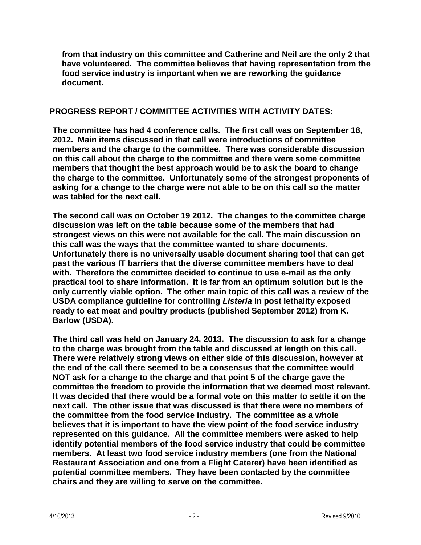**from that industry on this committee and Catherine and Neil are the only 2 that have volunteered. The committee believes that having representation from the food service industry is important when we are reworking the guidance document.**

#### **PROGRESS REPORT / COMMITTEE ACTIVITIES WITH ACTIVITY DATES:**

**The committee has had 4 conference calls. The first call was on September 18, 2012. Main items discussed in that call were introductions of committee members and the charge to the committee. There was considerable discussion on this call about the charge to the committee and there were some committee members that thought the best approach would be to ask the board to change the charge to the committee. Unfortunately some of the strongest proponents of asking for a change to the charge were not able to be on this call so the matter was tabled for the next call.**

**The second call was on October 19 2012. The changes to the committee charge discussion was left on the table because some of the members that had strongest views on this were not available for the call. The main discussion on this call was the ways that the committee wanted to share documents. Unfortunately there is no universally usable document sharing tool that can get past the various IT barriers that the diverse committee members have to deal with. Therefore the committee decided to continue to use e-mail as the only practical tool to share information. It is far from an optimum solution but is the only currently viable option. The other main topic of this call was a review of the USDA compliance guideline for controlling** *Listeria* **in post lethality exposed ready to eat meat and poultry products (published September 2012) from K. Barlow (USDA).**

**The third call was held on January 24, 2013. The discussion to ask for a change to the charge was brought from the table and discussed at length on this call. There were relatively strong views on either side of this discussion, however at the end of the call there seemed to be a consensus that the committee would NOT ask for a change to the charge and that point 5 of the charge gave the committee the freedom to provide the information that we deemed most relevant. It was decided that there would be a formal vote on this matter to settle it on the next call. The other issue that was discussed is that there were no members of the committee from the food service industry. The committee as a whole believes that it is important to have the view point of the food service industry represented on this guidance. All the committee members were asked to help identify potential members of the food service industry that could be committee members. At least two food service industry members (one from the National Restaurant Association and one from a Flight Caterer) have been identified as potential committee members. They have been contacted by the committee chairs and they are willing to serve on the committee.**